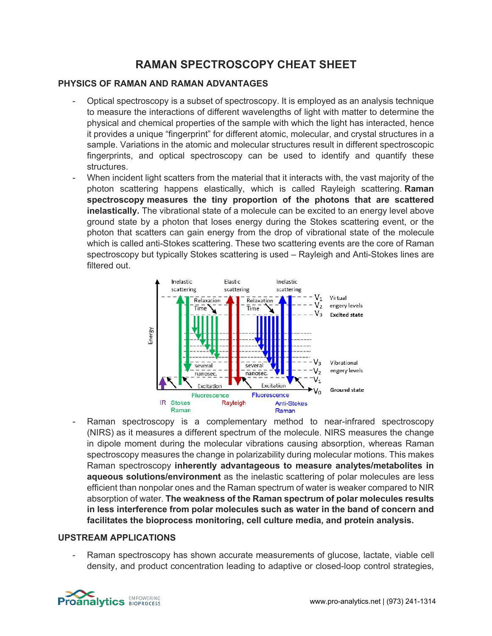# **RAMAN SPECTROSCOPY CHEAT SHEET**

## **PHYSICS OF RAMAN AND RAMAN ADVANTAGES**

- Optical spectroscopy is a subset of spectroscopy. It is employed as an analysis technique to measure the interactions of different wavelengths of light with matter to determine the physical and chemical properties of the sample with which the light has interacted, hence it provides a unique "fingerprint" for different atomic, molecular, and crystal structures in a sample. Variations in the atomic and molecular structures result in different spectroscopic fingerprints, and optical spectroscopy can be used to identify and quantify these structures.
- When incident light scatters from the material that it interacts with, the vast majority of the photon scattering happens elastically, which is called Rayleigh scattering. **Raman spectroscopy measures the tiny proportion of the photons that are scattered inelastically.** The vibrational state of a molecule can be excited to an energy level above ground state by a photon that loses energy during the Stokes scattering event, or the photon that scatters can gain energy from the drop of vibrational state of the molecule which is called anti-Stokes scattering. These two scattering events are the core of Raman spectroscopy but typically Stokes scattering is used – Rayleigh and Anti-Stokes lines are filtered out.



Raman spectroscopy is a complementary method to near-infrared spectroscopy (NIRS) as it measures a different spectrum of the molecule. NIRS measures the change in dipole moment during the molecular vibrations causing absorption, whereas Raman spectroscopy measures the change in polarizability during molecular motions. This makes Raman spectroscopy **inherently advantageous to measure analytes/metabolites in aqueous solutions/environment** as the inelastic scattering of polar molecules are less efficient than nonpolar ones and the Raman spectrum of water is weaker compared to NIR absorption of water. **The weakness of the Raman spectrum of polar molecules results in less interference from polar molecules such as water in the band of concern and facilitates the bioprocess monitoring, cell culture media, and protein analysis.**

#### **UPSTREAM APPLICATIONS**

Raman spectroscopy has shown accurate measurements of glucose, lactate, viable cell density, and product concentration leading to adaptive or closed-loop control strategies,

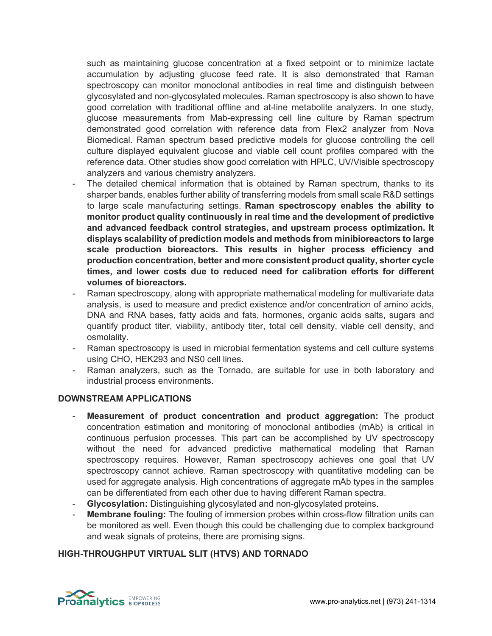such as maintaining glucose concentration at a fixed setpoint or to minimize lactate accumulation by adjusting glucose feed rate. It is also demonstrated that Raman spectroscopy can monitor monoclonal antibodies in real time and distinguish between glycosylated and non-glycosylated molecules. Raman spectroscopy is also shown to have good correlation with traditional offline and at-line metabolite analyzers. In one study, glucose measurements from Mab-expressing cell line culture by Raman spectrum demonstrated good correlation with reference data from Flex2 analyzer from Nova Biomedical. Raman spectrum based predictive models for glucose controlling the cell culture displayed equivalent glucose and viable cell count profiles compared with the reference data. Other studies show good correlation with HPLC, UV/Visible spectroscopy analyzers and various chemistry analyzers.

- The detailed chemical information that is obtained by Raman spectrum, thanks to its sharper bands, enables further ability of transferring models from small scale R&D settings to large scale manufacturing settings. **Raman spectroscopy enables the ability to monitor product quality continuously in real time and the development of predictive and advanced feedback control strategies, and upstream process optimization. It displays scalability of prediction models and methods from minibioreactors to large scale production bioreactors. This results in higher process efficiency and production concentration, better and more consistent product quality, shorter cycle times, and lower costs due to reduced need for calibration efforts for different volumes of bioreactors.**
- Raman spectroscopy, along with appropriate mathematical modeling for multivariate data analysis, is used to measure and predict existence and/or concentration of amino acids, DNA and RNA bases, fatty acids and fats, hormones, organic acids salts, sugars and quantify product titer, viability, antibody titer, total cell density, viable cell density, and osmolality.
- Raman spectroscopy is used in microbial fermentation systems and cell culture systems using CHO, HEK293 and NS0 cell lines.
- Raman analyzers, such as the Tornado, are suitable for use in both laboratory and industrial process environments.

## **DOWNSTREAM APPLICATIONS**

- **Measurement of product concentration and product aggregation:** The product concentration estimation and monitoring of monoclonal antibodies (mAb) is critical in continuous perfusion processes. This part can be accomplished by UV spectroscopy without the need for advanced predictive mathematical modeling that Raman spectroscopy requires. However, Raman spectroscopy achieves one goal that UV spectroscopy cannot achieve. Raman spectroscopy with quantitative modeling can be used for aggregate analysis. High concentrations of aggregate mAb types in the samples can be differentiated from each other due to having different Raman spectra.
- **Glycosylation:** Distinguishing glycosylated and non-glycosylated proteins.
- **Membrane fouling:** The fouling of immersion probes within cross-flow filtration units can be monitored as well. Even though this could be challenging due to complex background and weak signals of proteins, there are promising signs.

## **HIGH-THROUGHPUT VIRTUAL SLIT (HTVS) AND TORNADO**

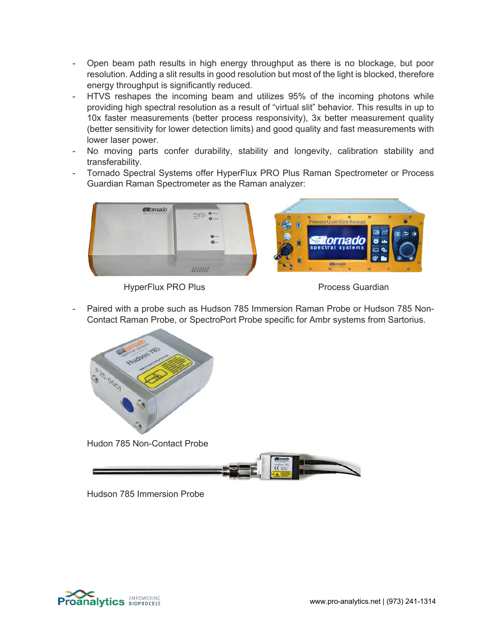- Open beam path results in high energy throughput as there is no blockage, but poor resolution. Adding a slit results in good resolution but most of the light is blocked, therefore energy throughput is significantly reduced.
- HTVS reshapes the incoming beam and utilizes 95% of the incoming photons while providing high spectral resolution as a result of "virtual slit" behavior. This results in up to 10x faster measurements (better process responsivity), 3x better measurement quality (better sensitivity for lower detection limits) and good quality and fast measurements with lower laser power.
- No moving parts confer durability, stability and longevity, calibration stability and transferability.
- Tornado Spectral Systems offer HyperFlux PRO Plus Raman Spectrometer or Process Guardian Raman Spectrometer as the Raman analyzer:



HyperFlux PRO Plus **Process** Guardian

Paired with a probe such as Hudson 785 Immersion Raman Probe or Hudson 785 Non-Contact Raman Probe, or SpectroPort Probe specific for Ambr systems from Sartorius.



Hudon 785 Non-Contact Probe



Hudson 785 Immersion Probe